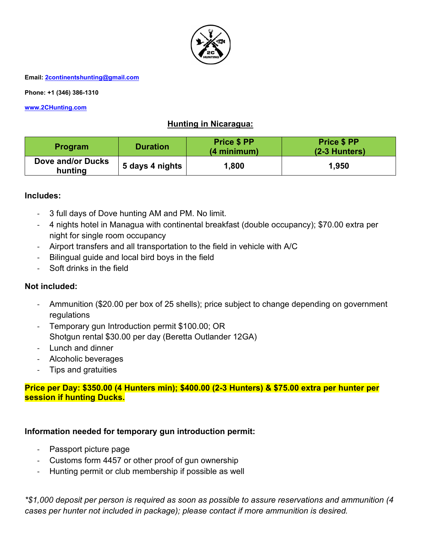

**Phone: +1 (346) 386-1310** 

**www.2CHunting.com**

# **Hunting in Nicaragua:**

| <b>Program</b>               | <b>Duration</b> | <b>Price \$ PP</b><br>(4 minimum) | <b>Price \$ PP</b><br>$(2-3$ Hunters) |
|------------------------------|-----------------|-----------------------------------|---------------------------------------|
| Dove and/or Ducks<br>hunting | 5 days 4 nights | 1,800                             | 1,950                                 |

#### **Includes:**

- 3 full days of Dove hunting AM and PM. No limit.
- 4 nights hotel in Managua with continental breakfast (double occupancy); \$70.00 extra per night for single room occupancy
- Airport transfers and all transportation to the field in vehicle with A/C
- Bilingual guide and local bird boys in the field
- Soft drinks in the field

#### **Not included:**

- Ammunition (\$20.00 per box of 25 shells); price subject to change depending on government regulations
- Temporary gun Introduction permit \$100.00; OR Shotgun rental \$30.00 per day (Beretta Outlander 12GA)
- Lunch and dinner
- Alcoholic beverages
- Tips and gratuities

#### **Price per Day: \$350.00 (4 Hunters min); \$400.00 (2-3 Hunters) & \$75.00 extra per hunter per session if hunting Ducks.**

#### **Information needed for temporary gun introduction permit:**

- Passport picture page
- Customs form 4457 or other proof of gun ownership
- Hunting permit or club membership if possible as well

*\*\$1,000 deposit per person is required as soon as possible to assure reservations and ammunition (4 cases per hunter not included in package); please contact if more ammunition is desired.*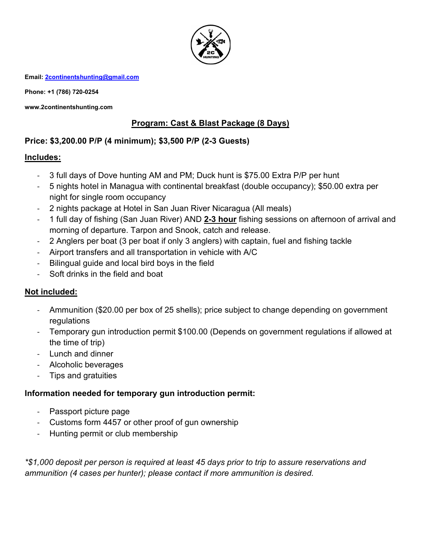

**Phone: +1 (786) 720-0254** 

**www.2continentshunting.com** 

# **Program: Cast & Blast Package (8 Days)**

# **Price: \$3,200.00 P/P (4 minimum); \$3,500 P/P (2-3 Guests)**

#### **Includes:**

- 3 full days of Dove hunting AM and PM; Duck hunt is \$75.00 Extra P/P per hunt
- 5 nights hotel in Managua with continental breakfast (double occupancy); \$50.00 extra per night for single room occupancy
- 2 nights package at Hotel in San Juan River Nicaragua (All meals)
- 1 full day of fishing (San Juan River) AND **2-3 hour** fishing sessions on afternoon of arrival and morning of departure. Tarpon and Snook, catch and release.
- 2 Anglers per boat (3 per boat if only 3 anglers) with captain, fuel and fishing tackle
- Airport transfers and all transportation in vehicle with A/C
- Bilingual guide and local bird boys in the field
- Soft drinks in the field and boat

# **Not included:**

- Ammunition (\$20.00 per box of 25 shells); price subject to change depending on government regulations
- Temporary gun introduction permit \$100.00 (Depends on government regulations if allowed at the time of trip)
- Lunch and dinner
- Alcoholic beverages
- Tips and gratuities

# **Information needed for temporary gun introduction permit:**

- Passport picture page
- Customs form 4457 or other proof of gun ownership
- Hunting permit or club membership

*\*\$1,000 deposit per person is required at least 45 days prior to trip to assure reservations and ammunition (4 cases per hunter); please contact if more ammunition is desired.*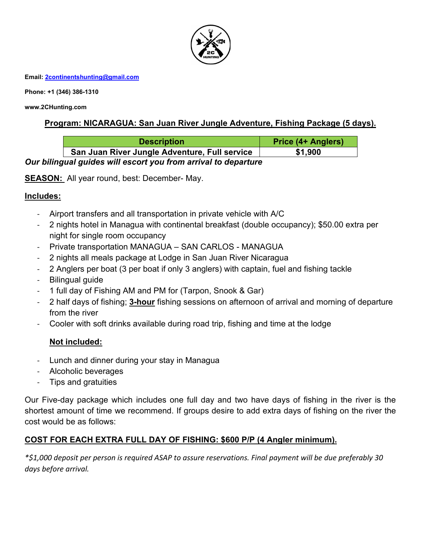

**Phone: +1 (346) 386-1310** 

**www.2CHunting.com** 

## **Program: NICARAGUA: San Juan River Jungle Adventure, Fishing Package (5 days).**

| <b>Description</b>                                             | <b>Price (4+ Anglers)</b> |  |
|----------------------------------------------------------------|---------------------------|--|
| San Juan River Jungle Adventure, Full service                  | \$1,900                   |  |
| Our bilingual guides will escort you from arrival to departure |                           |  |

**SEASON:** All year round, best: December- May.

#### **Includes:**

- Airport transfers and all transportation in private vehicle with A/C
- 2 nights hotel in Managua with continental breakfast (double occupancy); \$50.00 extra per night for single room occupancy
- Private transportation MANAGUA SAN CARLOS MANAGUA
- 2 nights all meals package at Lodge in San Juan River Nicaragua
- 2 Anglers per boat (3 per boat if only 3 anglers) with captain, fuel and fishing tackle
- Bilingual guide
- 1 full day of Fishing AM and PM for (Tarpon, Snook & Gar)
- 2 half days of fishing; **3-hour** fishing sessions on afternoon of arrival and morning of departure from the river
- Cooler with soft drinks available during road trip, fishing and time at the lodge

#### **Not included:**

- Lunch and dinner during your stay in Managua
- Alcoholic beverages
- Tips and gratuities

Our Five-day package which includes one full day and two have days of fishing in the river is the shortest amount of time we recommend. If groups desire to add extra days of fishing on the river the cost would be as follows:

# **COST FOR EACH EXTRA FULL DAY OF FISHING: \$600 P/P (4 Angler minimum).**

*\*\$1,000 deposit per person is required ASAP to assure reservations. Final payment will be due preferably 30 days before arrival.*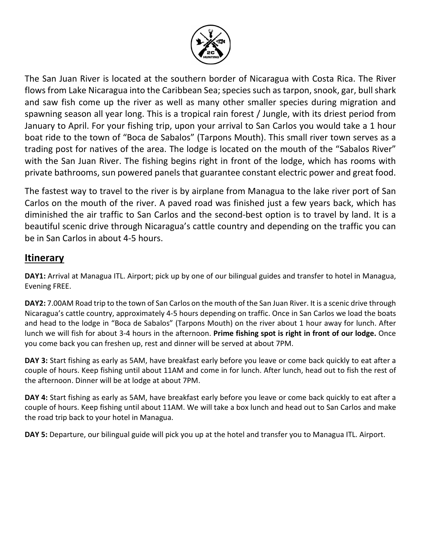

The San Juan River is located at the southern border of Nicaragua with Costa Rica. The River flows from Lake Nicaragua into the Caribbean Sea; species such as tarpon, snook, gar, bull shark and saw fish come up the river as well as many other smaller species during migration and spawning season all year long. This is a tropical rain forest / Jungle, with its driest period from January to April. For your fishing trip, upon your arrival to San Carlos you would take a 1 hour boat ride to the town of "Boca de Sabalos" (Tarpons Mouth). This small river town serves as a trading post for natives of the area. The lodge is located on the mouth of the "Sabalos River" with the San Juan River. The fishing begins right in front of the lodge, which has rooms with private bathrooms, sun powered panels that guarantee constant electric power and great food.

The fastest way to travel to the river is by airplane from Managua to the lake river port of San Carlos on the mouth of the river. A paved road was finished just a few years back, which has diminished the air traffic to San Carlos and the second-best option is to travel by land. It is a beautiful scenic drive through Nicaragua's cattle country and depending on the traffic you can be in San Carlos in about 4-5 hours.

# **Itinerary**

**DAY1:** Arrival at Managua ITL. Airport; pick up by one of our bilingual guides and transfer to hotel in Managua, Evening FREE.

**DAY2:** 7.00AM Road trip to the town of San Carlos on the mouth of the San Juan River. It is a scenic drive through Nicaragua's cattle country, approximately 4-5 hours depending on traffic. Once in San Carlos we load the boats and head to the lodge in "Boca de Sabalos" (Tarpons Mouth) on the river about 1 hour away for lunch. After lunch we will fish for about 3-4 hours in the afternoon. **Prime fishing spot is right in front of our lodge.** Once you come back you can freshen up, rest and dinner will be served at about 7PM.

**DAY 3:** Start fishing as early as 5AM, have breakfast early before you leave or come back quickly to eat after a couple of hours. Keep fishing until about 11AM and come in for lunch. After lunch, head out to fish the rest of the afternoon. Dinner will be at lodge at about 7PM.

**DAY 4:** Start fishing as early as 5AM, have breakfast early before you leave or come back quickly to eat after a couple of hours. Keep fishing until about 11AM. We will take a box lunch and head out to San Carlos and make the road trip back to your hotel in Managua.

**DAY 5:** Departure, our bilingual guide will pick you up at the hotel and transfer you to Managua ITL. Airport.